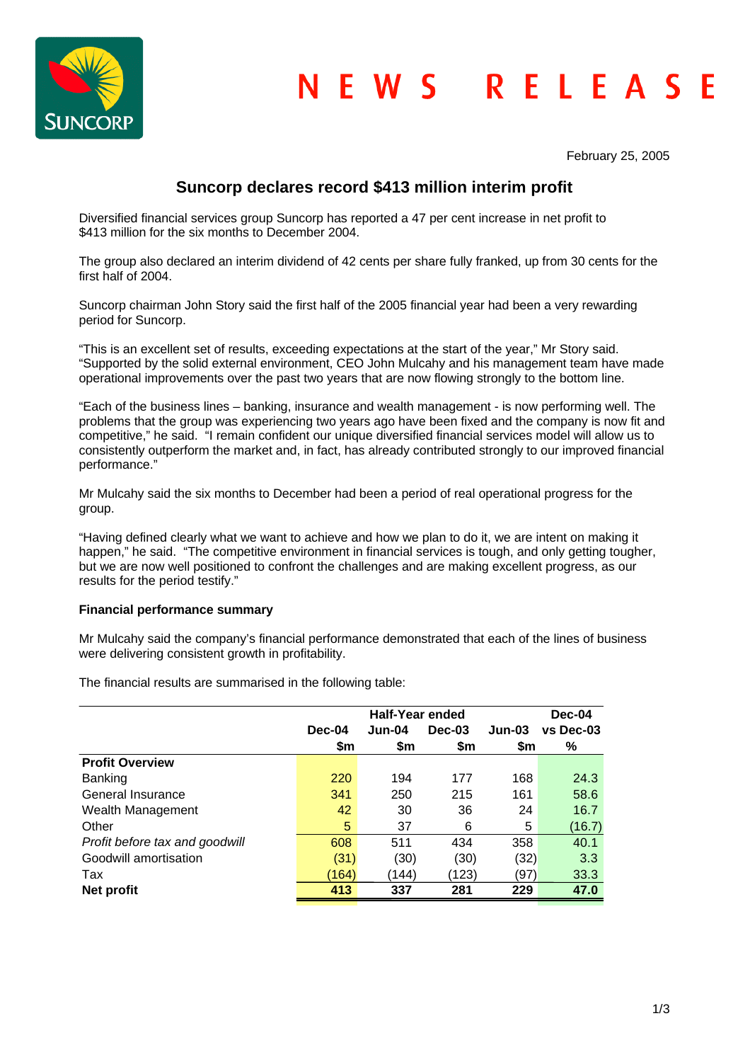

February 25, 2005

# **Suncorp declares record \$413 million interim profit**

Diversified financial services group Suncorp has reported a 47 per cent increase in net profit to \$413 million for the six months to December 2004.

The group also declared an interim dividend of 42 cents per share fully franked, up from 30 cents for the first half of 2004.

Suncorp chairman John Story said the first half of the 2005 financial year had been a very rewarding period for Suncorp.

"This is an excellent set of results, exceeding expectations at the start of the year," Mr Story said. "Supported by the solid external environment, CEO John Mulcahy and his management team have made operational improvements over the past two years that are now flowing strongly to the bottom line.

"Each of the business lines – banking, insurance and wealth management - is now performing well. The problems that the group was experiencing two years ago have been fixed and the company is now fit and competitive," he said. "I remain confident our unique diversified financial services model will allow us to consistently outperform the market and, in fact, has already contributed strongly to our improved financial performance."

Mr Mulcahy said the six months to December had been a period of real operational progress for the group.

"Having defined clearly what we want to achieve and how we plan to do it, we are intent on making it happen," he said. "The competitive environment in financial services is tough, and only getting tougher, but we are now well positioned to confront the challenges and are making excellent progress, as our results for the period testify."

# **Financial performance summary**

Mr Mulcahy said the company's financial performance demonstrated that each of the lines of business were delivering consistent growth in profitability.

The financial results are summarised in the following table:

| <b>Half-Year ended</b> |        |          | Dec-04   |           |
|------------------------|--------|----------|----------|-----------|
| Dec-04                 | Jun-04 | $Dec-03$ | $Jun-03$ | vs Dec-03 |
| \$m                    | \$m    | \$m      | \$m      | %         |
|                        |        |          |          |           |
| 220                    | 194    | 177      | 168      | 24.3      |
| 341                    | 250    | 215      | 161      | 58.6      |
| 42                     | 30     | 36       | 24       | 16.7      |
| 5                      | 37     | 6        | 5        | (16.7)    |
| 608                    | 511    | 434      | 358      | 40.1      |
| (31)                   | (30)   | (30)     | (32)     | 3.3       |
| (164)                  | (144)  | (123)    | (97)     | 33.3      |
| 413                    | 337    | 281      | 229      | 47.0      |
|                        |        |          |          |           |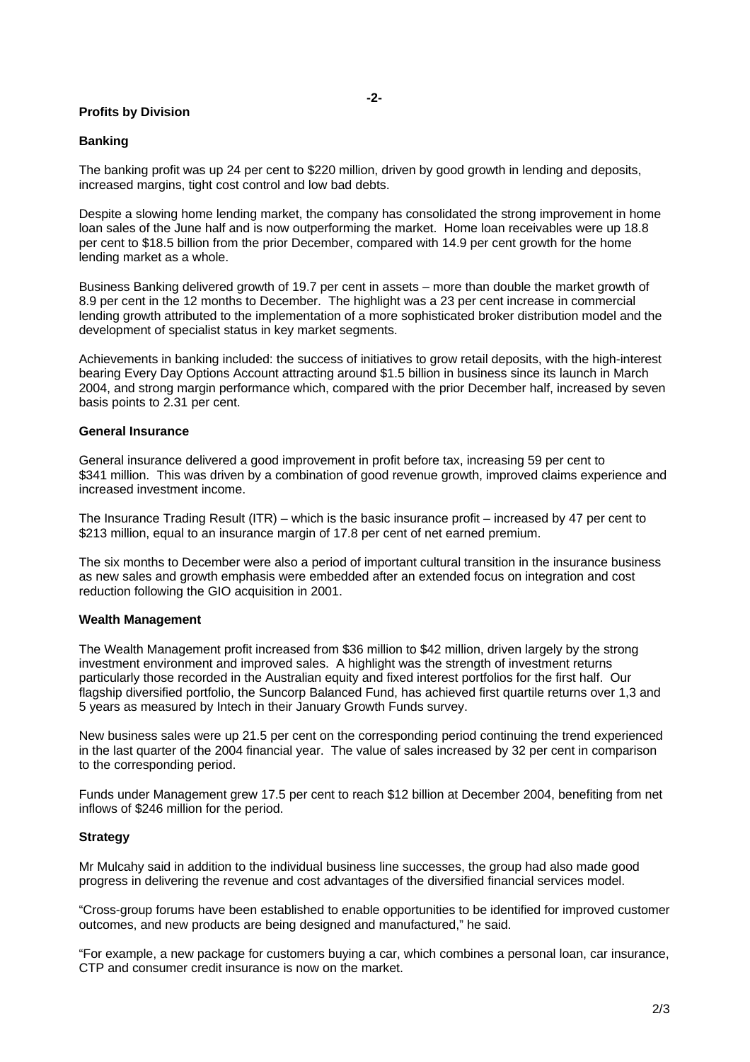## **Profits by Division**

## **Banking**

The banking profit was up 24 per cent to \$220 million, driven by good growth in lending and deposits, increased margins, tight cost control and low bad debts.

Despite a slowing home lending market, the company has consolidated the strong improvement in home loan sales of the June half and is now outperforming the market. Home loan receivables were up 18.8 per cent to \$18.5 billion from the prior December, compared with 14.9 per cent growth for the home lending market as a whole.

Business Banking delivered growth of 19.7 per cent in assets – more than double the market growth of 8.9 per cent in the 12 months to December. The highlight was a 23 per cent increase in commercial lending growth attributed to the implementation of a more sophisticated broker distribution model and the development of specialist status in key market segments.

Achievements in banking included: the success of initiatives to grow retail deposits, with the high-interest bearing Every Day Options Account attracting around \$1.5 billion in business since its launch in March 2004, and strong margin performance which, compared with the prior December half, increased by seven basis points to 2.31 per cent.

#### **General Insurance**

General insurance delivered a good improvement in profit before tax, increasing 59 per cent to \$341 million. This was driven by a combination of good revenue growth, improved claims experience and increased investment income.

The Insurance Trading Result (ITR) – which is the basic insurance profit – increased by 47 per cent to \$213 million, equal to an insurance margin of 17.8 per cent of net earned premium.

The six months to December were also a period of important cultural transition in the insurance business as new sales and growth emphasis were embedded after an extended focus on integration and cost reduction following the GIO acquisition in 2001.

#### **Wealth Management**

The Wealth Management profit increased from \$36 million to \$42 million, driven largely by the strong investment environment and improved sales. A highlight was the strength of investment returns particularly those recorded in the Australian equity and fixed interest portfolios for the first half. Our flagship diversified portfolio, the Suncorp Balanced Fund, has achieved first quartile returns over 1,3 and 5 years as measured by Intech in their January Growth Funds survey.

New business sales were up 21.5 per cent on the corresponding period continuing the trend experienced in the last quarter of the 2004 financial year. The value of sales increased by 32 per cent in comparison to the corresponding period.

Funds under Management grew 17.5 per cent to reach \$12 billion at December 2004, benefiting from net inflows of \$246 million for the period.

# **Strategy**

Mr Mulcahy said in addition to the individual business line successes, the group had also made good progress in delivering the revenue and cost advantages of the diversified financial services model.

"Cross-group forums have been established to enable opportunities to be identified for improved customer outcomes, and new products are being designed and manufactured," he said.

"For example, a new package for customers buying a car, which combines a personal loan, car insurance, CTP and consumer credit insurance is now on the market.